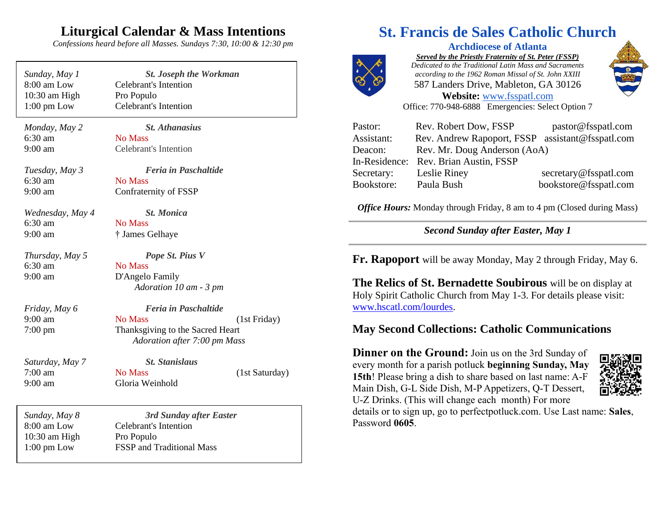## **Liturgical Calendar & Mass Intentions**

*Confessions heard before all Masses. Sundays 7:30, 10:00 & 12:30 pm*

| Sunday, May 1         |  |
|-----------------------|--|
| $8:00$ am Low         |  |
| $10:30$ am High       |  |
| $1:00 \text{ pm}$ Low |  |

*Sunday, May 1 St. Joseph the Workman* Celebrant's Intention Pro Populo Celebrant's Intention

*Monday, May 2 St. Athanasius* 6:30 am No Mass 9:00 am Celebrant's Intention

6:30 am No Mass

*Tuesday, May 3 Feria in Paschaltide* 9:00 am Confraternity of FSSP

*Wednesday, May 4 St. Monica* 6:30 am No Mass 9:00 am † James Gelhaye

*Thursday, May 5 Pope St. Pius V* 6:30 am No Mass 9:00 am D'Angelo Family

*Friday, May 6 Feria in Paschaltide*

9:00 am No Mass (1st Friday) 7:00 pm Thanksgiving to the Sacred Heart  *Adoration after 7:00 pm Mass*

 *Adoration 10 am - 3 pm*

*Saturday, May 7 St. Stanislaus* 7:00 am No Mass (1st Saturday) 9:00 am Gloria Weinhold

*Sunday, May 8 3rd Sunday after Easter* 8:00 am Low Celebrant's Intention 10:30 am High Pro Populo 1:00 pm Low FSSP and Traditional Mass

# **St. Francis de Sales Catholic Church**



**Archdiocese of Atlanta** *Served by the Priestly Fraternity of St. Peter (FSSP) Dedicated to the Traditional Latin Mass and Sacraments according to the 1962 Roman Missal of St. John XXIII* 587 Landers Drive, Mableton, GA 30126 **Website:** [www.fsspatl.com](http://www.fsspatl.com/)



Office: 770-948-6888 Emergencies: Select Option 7

| Pastor:       | Rev. Robert Dow, FSSP                            | pastor@fsspatl.com    |
|---------------|--------------------------------------------------|-----------------------|
| Assistant:    | Rev. Andrew Rapoport, FSSP assistant@fsspatl.com |                       |
| Deacon:       | Rev. Mr. Doug Anderson (AoA)                     |                       |
| In-Residence: | Rev. Brian Austin, FSSP                          |                       |
| Secretary:    | Leslie Riney                                     | secretary@fsspatl.com |
| Bookstore:    | Paula Bush                                       | bookstore@fsspatl.com |

*Office Hours:* Monday through Friday, 8 am to 4 pm (Closed during Mass)

*Second Sunday after Easter, May 1*

**Fr. Rapoport** will be away Monday, May 2 through Friday, May 6.

**The Relics of St. Bernadette Soubirous** will be on display at Holy Spirit Catholic Church from May 1-3. For details please visit: www.hscatl.com/lourdes.

#### **May Second Collections: Catholic Communications**

**Dinner on the Ground:** Join us on the 3rd Sunday of every month for a parish potluck **beginning Sunday, May 15th**! Please bring a dish to share based on last name: A-F Main Dish, G-L Side Dish, M-P Appetizers, Q-T Dessert, U-Z Drinks. (This will change each month) For more



details or to sign up, go to perfectpotluck.com. Use Last name: **Sales**, Password **0605**.